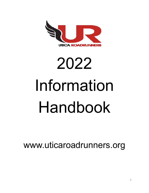

# 2022 Information Handbook

www.uticaroadrunners.org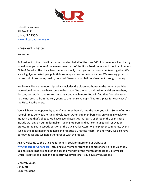

Utica Roadrunners PO Box 4141 Utica, NY 13504 [www.uticaroadrunners.org](http://www.uticaroadrunners.org)

# <span id="page-1-0"></span>President's Letter

Welcome!

As President of the Utica Roadrunners and on behalf of the over 500 club members, I am happy to welcome you as one of the newest members of the Utica Roadrunners and the Road Runners Club of America. The Utica Roadrunners not only run together but also volunteer together. We are a highly-motivated group, both in running and community activities. We are very proud of our record of promoting health, personal fitness and athletic achievement through running.

We have a diverse membership, which includes the ultramarathoner to the non-competitive recreational runner. We have some walkers, too. We are husbands, wives, children, teachers, doctors, secretaries, and retired persons – and much more. You will find that from the very fast to the not so fast, from the very young to the not so young – "There's a place for every pace" in the Utica Roadrunners.

You will have the opportunity to craft your membership into the level you wish. Some of us join several times per week to run and volunteer. Other club members may only join in weekly or monthly and that's ok too. We have several activities that carry us through the year. These include working on our Boilermaker Training Program and our continuing trail renovation project in the South Woods portion of the Utica Park system. We help other community events such as the Boilermaker Road Race and America's Greatest Heart Run and Walk. We also have our own races and we help other groups with their races.

Again, welcome to the Utica Roadrunners. Look for more on our website at [www.uticaroadrunners.org](http://www.uticaroadrunners.org), including our member forum and comprehensive Race Calendar. Business meetings are held on the second Monday of the month at the Utica Boilermaker Office. Feel free to e-mail me at jmott@cvalleycsd.org if you have any questions.

Sincerely yours, Jim Mott Club President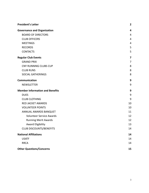| <b>President's Letter</b>              | $\mathbf{2}$ |
|----------------------------------------|--------------|
| <b>Governance and Organization</b>     | 4            |
| <b>BOARD OF DIRECTORS</b>              | 4            |
| <b>CLUB OFFICERS</b>                   | 4            |
| <b>MEETINGS</b>                        | 4            |
| <b>RECORDS</b>                         | 5            |
| <b>CONTACTS</b>                        | 5            |
| <b>Regular Club Events</b>             | 7            |
| <b>GRAND PRIX</b>                      | 7            |
| <b>CNY RUNNING CLUBS CUP</b>           | 8            |
| <b>CLUB RUNS</b>                       | 8            |
| <b>SOCIAL GATHERINGS</b>               | 8            |
| Communication                          | 9            |
| <b>NEWSLETTER</b>                      | 9            |
| <b>Member Information and Benefits</b> | 9            |
| <b>DUES</b>                            | 9            |
| <b>CLUB CLOTHING</b>                   | 9            |
| <b>RED JACKET AWARDS</b>               | 10           |
| <b>VOLUNTEER POINTS</b>                | 10           |
| ANNUAL AWARDS BANQUET                  | 11           |
| <b>Volunteer Service Awards</b>        | 12           |
| <b>Running Merit Awards</b>            | 12           |
| <b>Award Eligibility</b>               | 13           |
| <b>CLUB DISCOUNTS/BENEFITS</b>         | 14           |
| <b>National Affiliations</b>           | 14           |
| <b>USATF</b>                           | 14           |
| <b>RRCA</b>                            | 14           |
| <b>Other Questions/Concerns</b>        | 15           |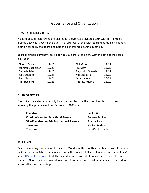# Governance and Organization

#### <span id="page-3-1"></span><span id="page-3-0"></span>**BOARD OF DIRECTORS**

A board of 12 directors who are elected for a two-year staggered term with six members elected each year governs the club. Final approval of the selected candidates is by a general election called by the board and held at a general membership meeting.

Board members currently serving during 2022 are listed below with the date of their term expiration:

| Sharon Scala       | 12/23 | <b>Rick Gloo</b>   | 12/22 |
|--------------------|-------|--------------------|-------|
| Jennifer Bachelder | 12/23 | Jim Mott           | 12/22 |
| Danielle Bliss     | 12/23 | Alejandro Gonzalez | 12/22 |
| Julie Buehner      | 12/23 | Melissa Barlett    | 12/22 |
| Jenn Stefka        | 12/23 | Rebecca Aceto      | 12/22 |
| Phil Trzcinski     | 12/23 | Andrew Rubino      | 12/22 |

## <span id="page-3-2"></span>**CLUB OFFICERS**

Five officers are elected annually for a one-year term by the incumbent board of directors following the general election. Officers for 2022 are:

| President                                   | Jim Mott           |
|---------------------------------------------|--------------------|
| Vice-President for Activities & Events      | Andrew Rubino      |
| Vice-President for Administration & Finance | Sharon Scala       |
| Secretary                                   | Melissa Barlett    |
| <b>Treasurer</b>                            | Jennifer Bachelder |

#### <span id="page-3-3"></span>**MEETINGS**

Business meetings are held on the second Monday of the month at the Boilermaker Race office on Court Street in Utica or at a place TBA by the president. If you plan to attend, email Jim Mott at [jmott@cvalleycsd.org.](mailto:jmott@cvalleycsd.org) Check the calendar on the website to make sure in case of a date changes. All members are invited to attend. All officers and board members are expected to attend all business meetings.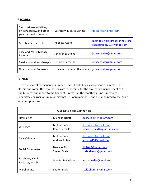## <span id="page-4-0"></span>**RECORDS**

| Club business activities,<br>by-laws, policy, and other<br>governance documents | Secretary: Melissa Barlett    | docbarlett@gmail.com                                      |
|---------------------------------------------------------------------------------|-------------------------------|-----------------------------------------------------------|
| <b>Membership Records</b>                                                       | Rebecca Aceto                 | members@uticaroadrunners.org<br>rebapurcell1321@yahoo.com |
| Race and Yearly Mileage<br>Records                                              | Jennifer Bachelder            | imbachelder@gmail.com                                     |
| Email and address changes                                                       | Jennifer Bachelder            | jmbachelder@gmail.com                                     |
| <b>Financials and Payments</b>                                                  | Treasurer: Jennifer Bachelder | imbachelder@gmail.com                                     |

## <span id="page-4-1"></span>**CONTACTS**

There are several permanent committees, each headed by a chairperson or director. The officers and committee chairpersons are responsible for the day-by-day management of the club business and report to the Board of Directors at the monthly business meetings. Committee chairpersons may, or may not be Board members, and are appointed by the Board for a one-year term.

| <b>Club Details and Committees</b>  |                                   |                                                      |
|-------------------------------------|-----------------------------------|------------------------------------------------------|
| <b>Newsletter</b>                   | Michelle Truett                   | michelle@484design.com                               |
| Webpage                             | Melissa Barlett<br>Rocco Fernalld | docbarlett@gmail.com<br>rocco.fernalld@quadsimia.com |
| Race Calendar                       | Melissa Barlett<br>Andrew Rubino  | docbarlett@gmail.com<br>arubino13@gmail.com          |
| Social Coordinator                  | Danielle Bliss<br>Sharon Scala    | dbliss49@gmail.com<br>scala.sharon@gmail.com         |
| Facebook, Media<br>Releases, and PR | Jennifer Bachelder                | imbachelder@gmail.com                                |
| Merchandise                         | Sharon Scala                      | scala.sharon@gmail.com                               |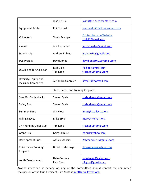|                                                      | Josh Belisle                        | josh@the-sneaker-store.com                         |
|------------------------------------------------------|-------------------------------------|----------------------------------------------------|
| <b>Equipment Rental</b>                              | Phil Trzcinski                      | resgmedic219@roadrunner.com                        |
| Volunteers                                           | <b>Travis Belanger</b>              | <b>Contact form on Website</b><br>trb891@gmail.com |
| Awards                                               | Jen Bachelder                       | imbachelder@gmail.com                              |
| Scholarships                                         | Andrew Rubino                       | arubino13@gmail.com                                |
| <b>SOS Project</b>                                   | David Jones                         | davidjones0422@gmail.com                           |
| <b>USATF and RRCA Liaison</b>                        | <b>Rick Gloo</b><br><b>Tim Kane</b> | rikgloo@gmail.com<br>trkane59@gmail.com            |
| Diversity, Equity, and<br><b>Inclusion Committee</b> | Alejandro Gonzalez                  | lifter38@hotmail.com                               |
| Runs, Races, and Training Programs                   |                                     |                                                    |
| Save Our Switchbacks                                 | Sharon Scala                        | scala.sharon@gmail.com                             |
| Safety Run                                           | Sharon Scala                        | scala.sharon@gmail.com                             |
| <b>Summer Sizzle</b>                                 | Jim Mott                            | imott@cvalleycsd.org                               |
| <b>Falling Leaves</b>                                | Mike Brych                          | mbrych@nhart.org                                   |
| <b>CNY Running Clubs Cup</b>                         | Tim Kane                            | trkane59@gmail.com                                 |
| <b>Grand Prix</b>                                    | Gary LaShure                        | gslnus@yahoo.com                                   |
| Development Runs                                     | Ashley Mancini                      | Ashmancini12@gmail.com                             |
| <b>Boilermaker Training</b><br>Program               | Dorothy Massinger                   | dmassinger@yahoo.com                               |
| Youth Development                                    | Nate Getman<br><b>Rick Gloo</b>     | npgetman@yahoo.com<br>rikgloo@gmail.com            |

Anyone interested in serving on any of the committees should contact the committee chairperson or the Club President –Jim Mott at *imott@cvalleycsd.org*.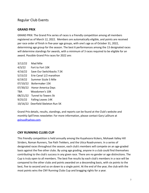# <span id="page-6-0"></span>Regular Club Events

#### <span id="page-6-1"></span>**GRAND PRIX**

GRAND PRIX: The Grand Prix series of races is a friendly competition among all members registered as of March 12, 2022. Members are automatically eligible, and points are received per race order of finish in five-year age groups, with one's age as of October 31, 2022, determining age group for the season. The best 6 performances among the 13 designated races will determine standings for awards, with a minimum of 3 races required to be eligible for an award. Possible Grand Prix races for 2022 are:

3/12/22 Mad Mile 4/3/22 Fort to Fort 10K 4/16/22 Save Our Switchbacks 7.5K 5/15/22 Erie Canal 1/2 marathon 6/19/22 Summer Sizzle 5 Mile 07/10/22 Boilermaker 15K 07/30/22 Honor America Days TBA Woodsmen's 10K 08/21/22 Tunnel to Towers 5k 9/25/22 Falling Leaves 14K 10/16/22 Deerfield Skeleton Run 5K

Grand Prix details, results, standings, and reports can be found at the Club's website and monthly SpliTimes newsletter. For more information, please contact Gary LaShure at [gslnus@yahoo.com](mailto:gslnus@yahoo.com).

#### <span id="page-6-2"></span>**CNY RUNNING CLUBS CUP**

This friendly competition is held annually among the Kuyahoora Kickers, Mohawk Valley Hill Striders, Roman Runners, Toe Path Trekkers, and the Utica Roadrunners. In a series of designated races throughout the season, each club's members will compete on an age-graded basis against the five other clubs. By using age grading, anyone in a club could find themselves contributing to the club's success in any given race. There are no gender or age distinctions. The Cup is truly open to all members. The best five results by each club's members in a race will be compared to the other clubs and points awarded on a descending basis, with six points to the best, five to second and so on down to a single point. At the end of the year, the club with the most points wins the CNY Running Clubs Cup and bragging rights for a year.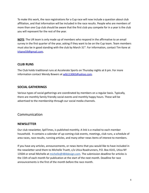To make this work, the race registrations for a Cup race will now include a question about club affiliation, and that information will be included in the race results. People who are members of more than one Cup club should be aware that the first club you compete for in a year is the club you will represent for the rest of the year.

**NOTE**: The UR team is only made up of members who respond in the affirmative to an email survey in the first quarter of the year, asking if they want to be on the Cup team. Team members must also be in good standing with the club by March  $31<sup>st</sup>$ . For information, contact Tim Kane at [trkane59@gmail.com](mailto:trkane59@gmail.com)**.**

## <span id="page-7-0"></span>**CLUB RUNS**

The Club holds traditional runs at Accelerate Sports on Thursday nights at 6 pm. For more information contact Wendy Bowers at wlb113065@vahoo.com.

## <span id="page-7-1"></span>**SOCIAL GATHERINGS**

Various types of social gatherings are coordinated by members on a regular basis. Typically, there are monthly family friendly social events and monthly happy hours. These will be advertised to the membership through our social media channels.

# <span id="page-7-2"></span>Communication

#### <span id="page-7-3"></span>**NEWSLETTER**

Our club newsletter, SpliTimes, is published monthly. A link is e-mailed to each member household. It contains a calendar of up-coming club events, meetings, club runs, a schedule of area races, race results, running articles, and many other news items of interest to members.

If you have any articles, announcements, or news items that you would like to have included in the newsletter send them to Michelle Truett, c/o Utica Roadrunners, P.O. Box 4141, Utica NY 13504 or email Michelle at [michelle@484design.com.](mailto:michelle@484design.com) The submission deadline for articles is the 15th of each month for publication at the start of the next month. Deadline for race announcements is the first of the month before the race month.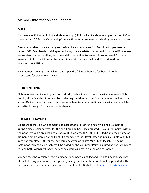# <span id="page-8-0"></span>Member Information and Benefits

## <span id="page-8-1"></span>**DUES**

Our dues are \$25 for an Individual Membership, \$30 for a Family Membership of two, or \$40 for three or four. A "Family Membership" means three or more members sharing the same address.

Dues are payable on a calendar year basis and are due January 1st. Deadline for payment is January 31<sup>st</sup>. Membership privileges (including the Newsletter!) may be discontinued if dues are not received by the deadline, and those delinquent after February 28 are removed from the membership list, ineligible for the Grand Prix until dues are paid, and discontinued from receiving the SpliTimes.

New members joining after Falling Leaves pay the full membership fee but will not be re-assessed for the following year.

## <span id="page-8-2"></span>**CLUB CLOTHING**

Club merchandise, including tank tops, shorts, tech shirts and more is available at many Club events, at the Sneaker Store, and by contacting the Merchandise Chairperson, contact info listed above. Online pop-up stores to purchase merchandise may sometimes be available and will be advertised through Club social media channels.

#### <span id="page-8-3"></span>**RED JACKET AWARDS**

Members of the club who complete at least 1000 miles of running or walking as a member during a single calendar year for the first time and have accumulated 10 volunteer points within the prior two years are awarded a special club jacket with "1000 MILE CLUB" and their name or nickname embroidered on the front. If a member earns 30 volunteer points in a single year, but does not complete 1000 miles, they could be given an "Extra Mile Club" Jacket. The point system for earning a club jacket will be based on the Volunteer Points as listed below. Members earning both awards will have the second award as a patch on the original jacket.

Mileage must be verifiable from a personal running/walking log and reported by January 15th of the following year. A form for reporting mileage and volunteer points will be provided in the December newsletter or can be obtained from Jennifer Bachelder at [jmbachelder@gmail.com.](mailto:jmbachelder@gmail.com)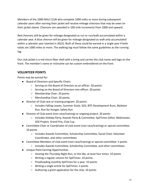Members of the 1000-MILE CLUB who complete 1000 miles or more during subsequent calendar years after earning their jacket will receive mileage chevrons that may be sewn on their jacket sleeve. Chevrons are awarded in 100-mile increments from 1000 and upward.

Red chevrons will be given for mileage designated as run or run/walk accumulated within a calendar year. A blue chevron will be given for mileage designated as walk only accumulated within a calendar year (started in 2022). Both of these could be earned in a single year if both totals are 1000 miles or more. The walking log must follow the same guidelines as the running log.

Our club jacket is a red micro-fiber shell with a lining and carries the club name and logo on the front. The member's name or nickname can be custom embroidered on the front.

# <span id="page-9-0"></span>**VOLUNTEER POINTS**

Points may be earned for:

- Board of Directors and Specific Chairs
	- Serving on the Board of Directors as an officer: 30 points
	- Serving on the Board of Directors non-officer: 20 points
	- Membership Chair: 20 points
	- Merchandise Chair: 20 points
- Director of Club race or training program: 20 points
	- Includes Falling Leaves, Summer Sizzle, SOS, BTP, Development Runs, Skeleton Run, Run for Hunger, Safety Run
- Director of Club event (non-race/training) or ongoing project: 20 points
	- Includes Holiday Party, Awards Party & Committee, SpliTimes Editor, Webmaster, SOS Project, Grand Prix, Club Cup
- Committee Chair or Coordinator of club event (non-race/training) or special committee: 10 points
	- Includes Awards Committee, Scholarship Committee, Social Chair, Volunteer Coordinator, and other committees
- Committee Members of club event (non-race/training) or special committee: 5 points
	- Includes Awards Committee, Scholarship Committee, and other committees
- Unique Point Earning Opportunities
	- Hosting the Thursday Night Run, or the like, at least four times: 10 points
	- Writing a regular column for SpliTimes: 10 points
	- Proofreading monthly SpliTimes for a year: 10 points
	- Writing a single article for SpliTimes: 2 points
	- Authoring a grant application for the club: 10 points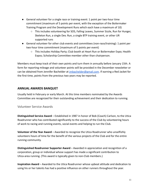- General volunteer for a single race or training event: 1 point per two-hour time commitment (maximum of 5 points per event, with the exception of the Boilermaker Training Program and the Development Runs which each have a maximum of 10)
	- This includes volunteering for SOS, Falling Leaves, Summer Sizzle, Run for Hunger, Skeleton Run, a single Dev. Run, a single BTP training event, or other UR supported runs
- General volunteer for other club events and committees (non-race/training): 1 point per two-hour time commitment (maximum of 5 points per event)
	- This includes Holiday Party; Club booth at Heart Run or Boilermaker Expo; Health Expos; Scholarship Committee member other than chairperson.

Members must keep track of their own points and turn them in annually before January 15th. A form for reporting mileage and volunteer points will be provided in the December newsletter or can be obtained from Jennifer Bachelder at *imbachelder@gmail.com*. If earning a Red Jacket for the first time, points from the previous two years may be reported.

## <span id="page-10-0"></span>**ANNUAL AWARDS BANQUET**

Usually held in February or early March. At this time members nominated by the Awards Committee are recognized for their outstanding achievement and their dedication to running.

#### <span id="page-10-1"></span>Volunteer Service Awards

**Distinguished Service Award** – Established in 1987 in honor of Bob (Coach) Carlson, to the Utica Roadrunner who has contributed significantly to the success of the Club by volunteering hours of work to racing and running events, social events and helping to run the Club.

**Volunteer of the Year Award** – Awarded to recognize the Utica Roadrunner who unselfishly volunteers hours of time for the benefit of the various projects of the Club and for the entire running community.

**Distinguished Roadrunner Supporter Award** – Awarded in appreciation and recognition of a corporation, group or individual whose support has made a significant contribution to Utica-area running. (This award is typically given to non-Club members.)

**Inspiration Award** – Awarded to the Utica Roadrunner whose upbeat attitude and dedication to using his or her talents has had a positive influence on other runners throughout the year.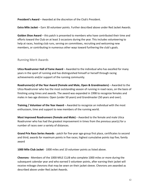**President's Award** – Awarded at the discretion of the Club's President.

**Extra Mile Jacket** – Earn 30 volunteer points. Further described above under Red Jacket Awards.

**Golden Shoe Award** – this patch is presented to members who have contributed their time and efforts toward the Club on at least 3 occasions during the year. This includes volunteering to help at races, hosting club runs, serving on committees, recruiting and welcoming new members, or contributing in numerous other ways toward furthering the club's goals.

## <span id="page-11-0"></span>Running Merit Awards

**Utica Roadrunner Hall of Fame Award** – Awarded to the individual who has excelled for many years in the sport of running and has distinguished himself or herself through racing achievements and/or support of the running community.

**Roadrunner(s) of the Year Award (Female and Male, Open & Grandmasters)** – Awarded to the Utica Roadrunner who has the most outstanding season of running in road races, on the basis of finishing using times and awards. The award was expanded in 1998 to recognize females and males in two age divisions: Open (under 50 years) and Grandmaster (50 years and over).

**Training / Volunteer of the Year Award** – Awarded to recognize an individual with the most enthusiasm, time and support to new members of the running world.

**Most Improved Roadrunners (Female and Male)** – Awarded to the female and male Utica Roadrunner who has had the greatest improvement in times from the previous year(s) for a number of races over a variety of distances.

**Grand Prix Race Series Awards** - patch for five-year age-group first place, certificates to second and third; awards for maximum points in five races; highest cumulative points top five; family award

**1000 Mile Club Jacket** - 1000 miles and 10 volunteer points as listed above.

**Chevrons** - Members of the 1000-MILE CLUB who complete 1000 miles or more during the subsequent calendar year and who earned 5 volunteer points, after earning their jacket will receive mileage chevrons that may be sewn on their jacket sleeve. Chevrons are awarded as described above under Red Jacket Awards.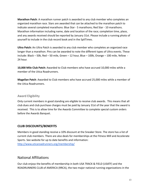**Marathon Patch**: A marathon runner patch is awarded to any club member who completes an organized marathon race. Stars are awarded that can be attached to the marathon patch to indicate several completed marathons: Blue Star - 5 marathons; Red Star - 10 marathons. Marathon information including name, date and location of the race; completion time, place, and any awards received should be reported by January 31st. Please include a running photo of yourself to include in the club record book and in the SpliTimes.

**Ultra Patch:** An Ultra Patch is awarded to any club member who completes an organized race longer than a marathon. Pins can be awarded to note the different types of Ultra events. These include: Black – 50k, Red – 50 mile, Green – 12 hour, Blue – 100k, Orange – 100 mile, Yellow - 24 hour.

**10,000 Mile Club Patch:** Awarded to Club members who have accrued 10,000 miles while a member of the Utica Roadrunners.

**Magellan Patch**: Awarded to Club members who have accrued 25,000 miles while a member of the Utica Roadrunners.

## <span id="page-12-0"></span>Award Eligibility

Only current members in good standing are eligible to receive club awards. This means that all club dues and club purchase charges must be paid by January 31st of the year that the award is received. This is to allow time for the Awards Committee to complete special custom orders before the Awards Banquet.

# <span id="page-12-1"></span>**CLUB DISCOUNTS/BENEFITS**

Members in good standing receive a 10% discount at the Sneaker Store. The store has a list of current club members. There are also deals for memberships at the Fitness Mill and Accelerate Sports. See website for up to date benefits and information: <http://www.uticaroadrunners.org/membership/>

# <span id="page-12-2"></span>National Affiliations

Our club enjoys the benefits of membership in both USA TRACK & FIELD (USATF) and the ROADRUNNERS CLUB of AMERICA (RRCA), the two major national running organizations in the